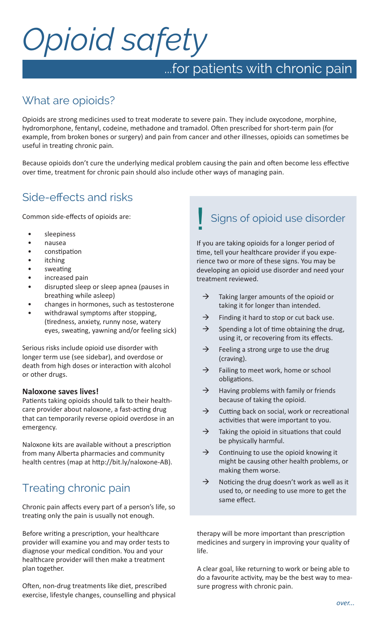# *Opioid safety*

## ...for patients with chronic pain

## What are opioids?

Opioids are strong medicines used to treat moderate to severe pain. They include oxycodone, morphine, hydromorphone, fentanyl, codeine, methadone and tramadol. Often prescribed for short-term pain (for example, from broken bones or surgery) and pain from cancer and other illnesses, opioids can sometimes be useful in treating chronic pain.

Because opioids don't cure the underlying medical problem causing the pain and often become less effective over time, treatment for chronic pain should also include other ways of managing pain.

## Side-effects and risks

Common side-effects of opioids are:

- sleepiness
- nausea
- constipation
- **itching**
- sweating
- increased pain
- disrupted sleep or sleep apnea (pauses in breathing while asleep)
- changes in hormones, such as testosterone
- withdrawal symptoms after stopping, (tiredness, anxiety, runny nose, watery eyes, sweating, yawning and/or feeling sick)

Serious risks include opioid use disorder with longer term use (see sidebar), and overdose or death from high doses or interaction with alcohol or other drugs.

#### **Naloxone saves lives!**

Patients taking opioids should talk to their healthcare provider about naloxone, a fast-acting drug that can temporarily reverse opioid overdose in an emergency.

Naloxone kits are available without a prescription from many Alberta pharmacies and community health centres (map at http://bit.ly/naloxone-AB).

## Treating chronic pain

Chronic pain affects every part of a person's life, so treating only the pain is usually not enough.

Before writing a prescription, your healthcare provider will examine you and may order tests to diagnose your medical condition. You and your healthcare provider will then make a treatment plan together.

Often, non-drug treatments like diet, prescribed exercise, lifestyle changes, counselling and physical

# Signs of opioid use disorder

If you are taking opioids for a longer period of time, tell your healthcare provider if you experience two or more of these signs. You may be developing an opioid use disorder and need your treatment reviewed.

- $\rightarrow$  Taking larger amounts of the opioid or taking it for longer than intended.
- $\rightarrow$  Finding it hard to stop or cut back use.
- $\rightarrow$  Spending a lot of time obtaining the drug, using it, or recovering from its effects.
- $\rightarrow$  Feeling a strong urge to use the drug (craving).
- $\rightarrow$  Failing to meet work, home or school obligations.
- $\rightarrow$  Having problems with family or friends because of taking the opioid.
- $\rightarrow$  Cutting back on social, work or recreational activities that were important to you.
- $\rightarrow$  Taking the opioid in situations that could be physically harmful.
- $\rightarrow$  Continuing to use the opioid knowing it might be causing other health problems, or making them worse.
- $\rightarrow$  Noticing the drug doesn't work as well as it used to, or needing to use more to get the same effect.

therapy will be more important than prescription medicines and surgery in improving your quality of life.

A clear goal, like returning to work or being able to do a favourite activity, may be the best way to measure progress with chronic pain.